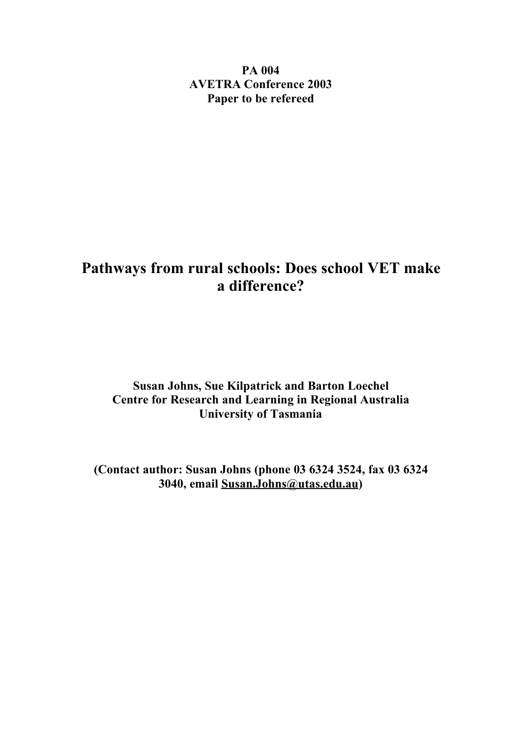**PA 004 AVETRA Conference 2003 Paper to be refereed**

# **Pathways from rural schools: Does school VET make a difference?**

# **Susan Johns, Sue Kilpatrick and Barton Loechel Centre for Research and Learning in Regional Australia University of Tasmania**

**(Contact author: Susan Johns (phone 03 6324 3524, fax 03 6324 3040, email Susan.Johns@utas.edu.au)**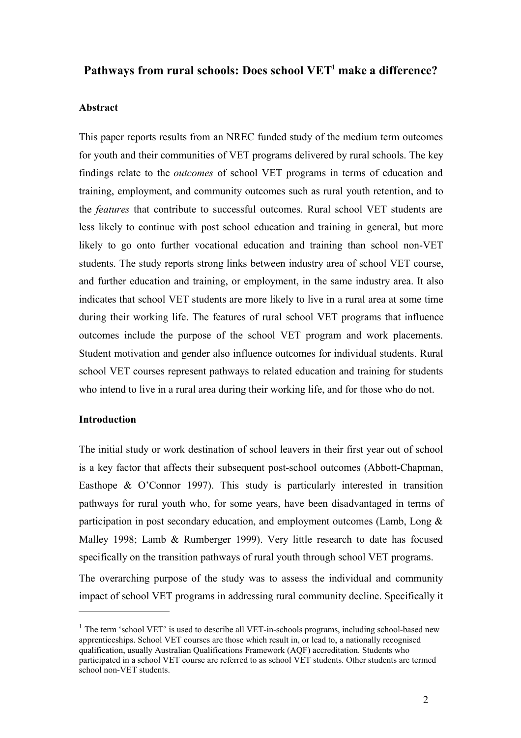# **Pathways from rural schools: Does school VET<sup>1</sup> make a difference?**

#### **Abstract**

This paper reports results from an NREC funded study of the medium term outcomes for youth and their communities of VET programs delivered by rural schools. The key findings relate to the *outcomes* of school VET programs in terms of education and training, employment, and community outcomes such as rural youth retention, and to the *features* that contribute to successful outcomes. Rural school VET students are less likely to continue with post school education and training in general, but more likely to go onto further vocational education and training than school non-VET students. The study reports strong links between industry area of school VET course, and further education and training, or employment, in the same industry area. It also indicates that school VET students are more likely to live in a rural area at some time during their working life. The features of rural school VET programs that influence outcomes include the purpose of the school VET program and work placements. Student motivation and gender also influence outcomes for individual students. Rural school VET courses represent pathways to related education and training for students who intend to live in a rural area during their working life, and for those who do not.

# **Introduction**

The initial study or work destination of school leavers in their first year out of school is a key factor that affects their subsequent post-school outcomes (Abbott-Chapman, Easthope & O'Connor 1997). This study is particularly interested in transition pathways for rural youth who, for some years, have been disadvantaged in terms of participation in post secondary education, and employment outcomes (Lamb, Long & Malley 1998; Lamb & Rumberger 1999). Very little research to date has focused specifically on the transition pathways of rural youth through school VET programs. The overarching purpose of the study was to assess the individual and community impact of school VET programs in addressing rural community decline. Specifically it

 $1$  The term 'school VET' is used to describe all VET-in-schools programs, including school-based new apprenticeships. School VET courses are those which result in, or lead to, a nationally recognised qualification, usually Australian Qualifications Framework (AQF) accreditation. Students who participated in a school VET course are referred to as school VET students. Other students are termed school non-VET students.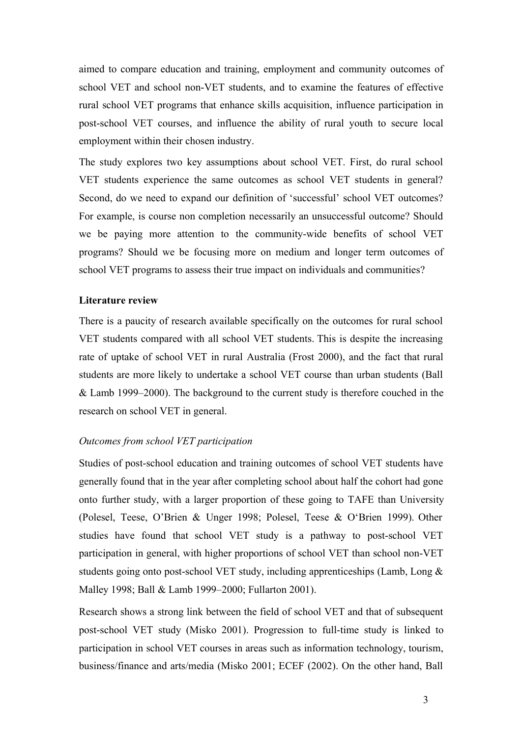aimed to compare education and training, employment and community outcomes of school VET and school non-VET students, and to examine the features of effective rural school VET programs that enhance skills acquisition, influence participation in post-school VET courses, and influence the ability of rural youth to secure local employment within their chosen industry.

The study explores two key assumptions about school VET. First, do rural school VET students experience the same outcomes as school VET students in general? Second, do we need to expand our definition of 'successful' school VET outcomes? For example, is course non completion necessarily an unsuccessful outcome? Should we be paying more attention to the community-wide benefits of school VET programs? Should we be focusing more on medium and longer term outcomes of school VET programs to assess their true impact on individuals and communities?

#### **Literature review**

There is a paucity of research available specifically on the outcomes for rural school VET students compared with all school VET students. This is despite the increasing rate of uptake of school VET in rural Australia (Frost 2000), and the fact that rural students are more likely to undertake a school VET course than urban students (Ball & Lamb 1999–2000). The background to the current study is therefore couched in the research on school VET in general.

#### *Outcomes from school VET participation*

Studies of post-school education and training outcomes of school VET students have generally found that in the year after completing school about half the cohort had gone onto further study, with a larger proportion of these going to TAFE than University (Polesel, Teese, O'Brien & Unger 1998; Polesel, Teese & O'Brien 1999). Other studies have found that school VET study is a pathway to post-school VET participation in general, with higher proportions of school VET than school non-VET students going onto post-school VET study, including apprenticeships (Lamb, Long & Malley 1998; Ball & Lamb 1999–2000; Fullarton 2001).

Research shows a strong link between the field of school VET and that of subsequent post-school VET study (Misko 2001). Progression to full-time study is linked to participation in school VET courses in areas such as information technology, tourism, business/finance and arts/media (Misko 2001; ECEF (2002). On the other hand, Ball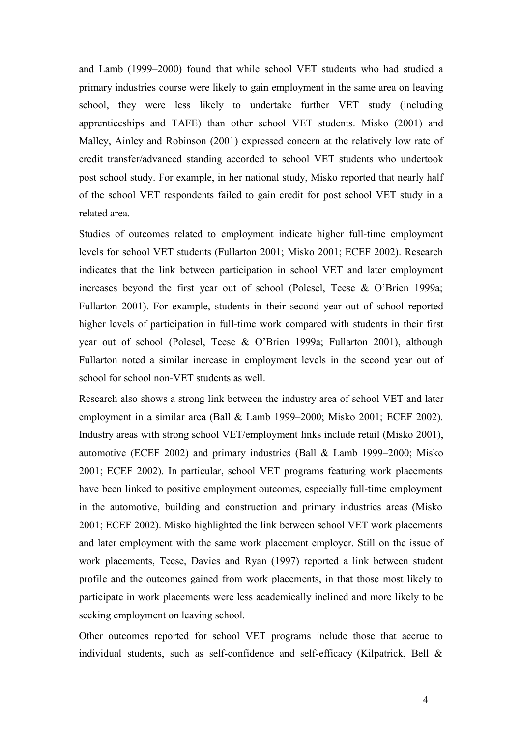and Lamb (1999–2000) found that while school VET students who had studied a primary industries course were likely to gain employment in the same area on leaving school, they were less likely to undertake further VET study (including apprenticeships and TAFE) than other school VET students. Misko (2001) and Malley, Ainley and Robinson (2001) expressed concern at the relatively low rate of credit transfer/advanced standing accorded to school VET students who undertook post school study. For example, in her national study, Misko reported that nearly half of the school VET respondents failed to gain credit for post school VET study in a related area.

Studies of outcomes related to employment indicate higher full-time employment levels for school VET students (Fullarton 2001; Misko 2001; ECEF 2002). Research indicates that the link between participation in school VET and later employment increases beyond the first year out of school (Polesel, Teese & O'Brien 1999a; Fullarton 2001). For example, students in their second year out of school reported higher levels of participation in full-time work compared with students in their first year out of school (Polesel, Teese & O'Brien 1999a; Fullarton 2001), although Fullarton noted a similar increase in employment levels in the second year out of school for school non-VET students as well.

Research also shows a strong link between the industry area of school VET and later employment in a similar area (Ball & Lamb 1999–2000; Misko 2001; ECEF 2002). Industry areas with strong school VET/employment links include retail (Misko 2001), automotive (ECEF 2002) and primary industries (Ball & Lamb 1999–2000; Misko 2001; ECEF 2002). In particular, school VET programs featuring work placements have been linked to positive employment outcomes, especially full-time employment in the automotive, building and construction and primary industries areas (Misko 2001; ECEF 2002). Misko highlighted the link between school VET work placements and later employment with the same work placement employer. Still on the issue of work placements, Teese, Davies and Ryan (1997) reported a link between student profile and the outcomes gained from work placements, in that those most likely to participate in work placements were less academically inclined and more likely to be seeking employment on leaving school.

Other outcomes reported for school VET programs include those that accrue to individual students, such as self-confidence and self-efficacy (Kilpatrick, Bell &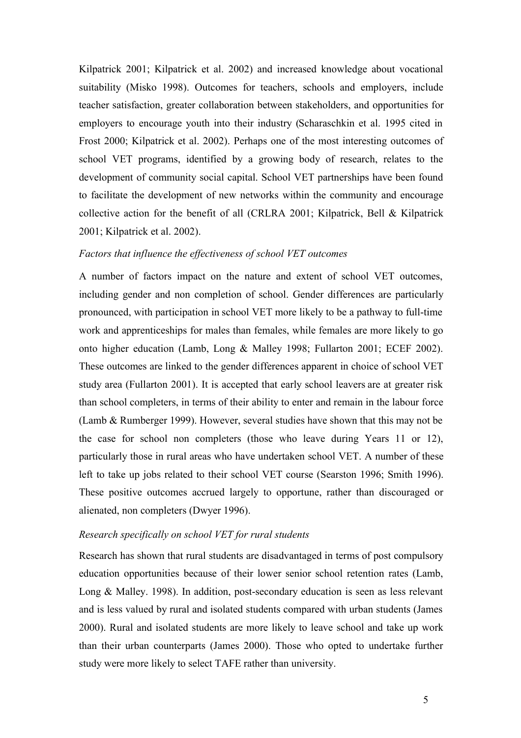Kilpatrick 2001; Kilpatrick et al. 2002) and increased knowledge about vocational suitability (Misko 1998). Outcomes for teachers, schools and employers, include teacher satisfaction, greater collaboration between stakeholders, and opportunities for employers to encourage youth into their industry (Scharaschkin et al. 1995 cited in Frost 2000; Kilpatrick et al. 2002). Perhaps one of the most interesting outcomes of school VET programs, identified by a growing body of research, relates to the development of community social capital. School VET partnerships have been found to facilitate the development of new networks within the community and encourage collective action for the benefit of all (CRLRA 2001; Kilpatrick, Bell & Kilpatrick 2001; Kilpatrick et al. 2002).

#### *Factors that influence the effectiveness of school VET outcomes*

A number of factors impact on the nature and extent of school VET outcomes, including gender and non completion of school. Gender differences are particularly pronounced, with participation in school VET more likely to be a pathway to full-time work and apprenticeships for males than females, while females are more likely to go onto higher education (Lamb, Long & Malley 1998; Fullarton 2001; ECEF 2002). These outcomes are linked to the gender differences apparent in choice of school VET study area (Fullarton 2001). It is accepted that early school leavers are at greater risk than school completers, in terms of their ability to enter and remain in the labour force (Lamb & Rumberger 1999). However, several studies have shown that this may not be the case for school non completers (those who leave during Years 11 or 12), particularly those in rural areas who have undertaken school VET. A number of these left to take up jobs related to their school VET course (Searston 1996; Smith 1996). These positive outcomes accrued largely to opportune, rather than discouraged or alienated, non completers (Dwyer 1996).

#### *Research specifically on school VET for rural students*

Research has shown that rural students are disadvantaged in terms of post compulsory education opportunities because of their lower senior school retention rates (Lamb, Long & Malley. 1998). In addition, post-secondary education is seen as less relevant and is less valued by rural and isolated students compared with urban students (James 2000). Rural and isolated students are more likely to leave school and take up work than their urban counterparts (James 2000). Those who opted to undertake further study were more likely to select TAFE rather than university.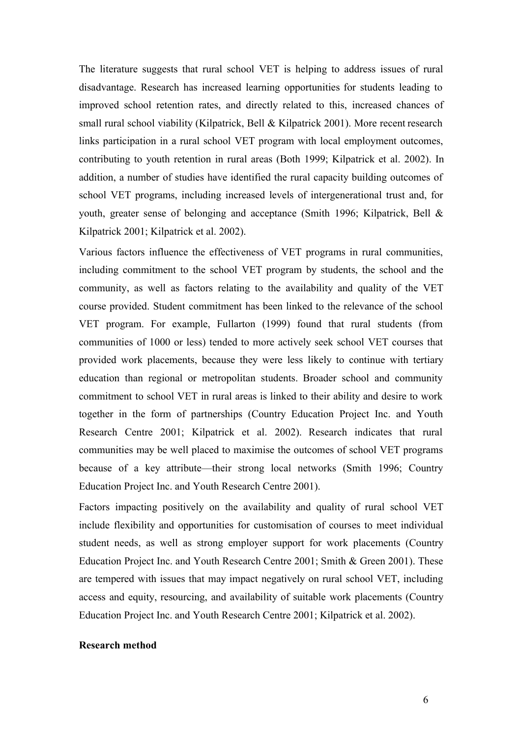The literature suggests that rural school VET is helping to address issues of rural disadvantage. Research has increased learning opportunities for students leading to improved school retention rates, and directly related to this, increased chances of small rural school viability (Kilpatrick, Bell & Kilpatrick 2001). More recent research links participation in a rural school VET program with local employment outcomes, contributing to youth retention in rural areas (Both 1999; Kilpatrick et al. 2002). In addition, a number of studies have identified the rural capacity building outcomes of school VET programs, including increased levels of intergenerational trust and, for youth, greater sense of belonging and acceptance (Smith 1996; Kilpatrick, Bell & Kilpatrick 2001; Kilpatrick et al. 2002).

Various factors influence the effectiveness of VET programs in rural communities, including commitment to the school VET program by students, the school and the community, as well as factors relating to the availability and quality of the VET course provided. Student commitment has been linked to the relevance of the school VET program. For example, Fullarton (1999) found that rural students (from communities of 1000 or less) tended to more actively seek school VET courses that provided work placements, because they were less likely to continue with tertiary education than regional or metropolitan students. Broader school and community commitment to school VET in rural areas is linked to their ability and desire to work together in the form of partnerships (Country Education Project Inc. and Youth Research Centre 2001; Kilpatrick et al. 2002). Research indicates that rural communities may be well placed to maximise the outcomes of school VET programs because of a key attribute—their strong local networks (Smith 1996; Country Education Project Inc. and Youth Research Centre 2001).

Factors impacting positively on the availability and quality of rural school VET include flexibility and opportunities for customisation of courses to meet individual student needs, as well as strong employer support for work placements (Country Education Project Inc. and Youth Research Centre 2001; Smith & Green 2001). These are tempered with issues that may impact negatively on rural school VET, including access and equity, resourcing, and availability of suitable work placements (Country Education Project Inc. and Youth Research Centre 2001; Kilpatrick et al. 2002).

#### **Research method**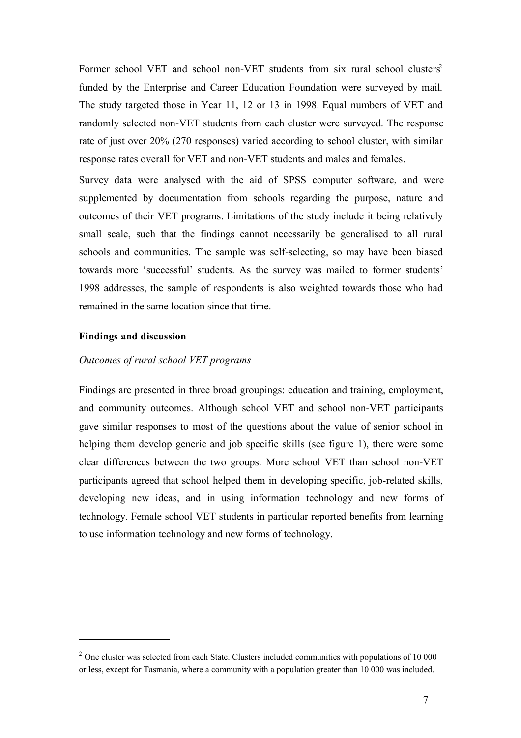Former school VET and school non-VET students from six rural school clusters<sup>2</sup> funded by the Enterprise and Career Education Foundation were surveyed by mail. The study targeted those in Year 11, 12 or 13 in 1998. Equal numbers of VET and randomly selected non-VET students from each cluster were surveyed. The response rate of just over 20% (270 responses) varied according to school cluster, with similar response rates overall for VET and non-VET students and males and females.

Survey data were analysed with the aid of SPSS computer software, and were supplemented by documentation from schools regarding the purpose, nature and outcomes of their VET programs. Limitations of the study include it being relatively small scale, such that the findings cannot necessarily be generalised to all rural schools and communities. The sample was self-selecting, so may have been biased towards more 'successful' students. As the survey was mailed to former students' 1998 addresses, the sample of respondents is also weighted towards those who had remained in the same location since that time.

# **Findings and discussion**

# *Outcomes of rural school VET programs*

Findings are presented in three broad groupings: education and training, employment, and community outcomes. Although school VET and school non-VET participants gave similar responses to most of the questions about the value of senior school in helping them develop generic and job specific skills (see figure 1), there were some clear differences between the two groups. More school VET than school non-VET participants agreed that school helped them in developing specific, job-related skills, developing new ideas, and in using information technology and new forms of technology. Female school VET students in particular reported benefits from learning to use information technology and new forms of technology.

 $2$  One cluster was selected from each State. Clusters included communities with populations of 10 000 or less, except for Tasmania, where a community with a population greater than 10 000 was included.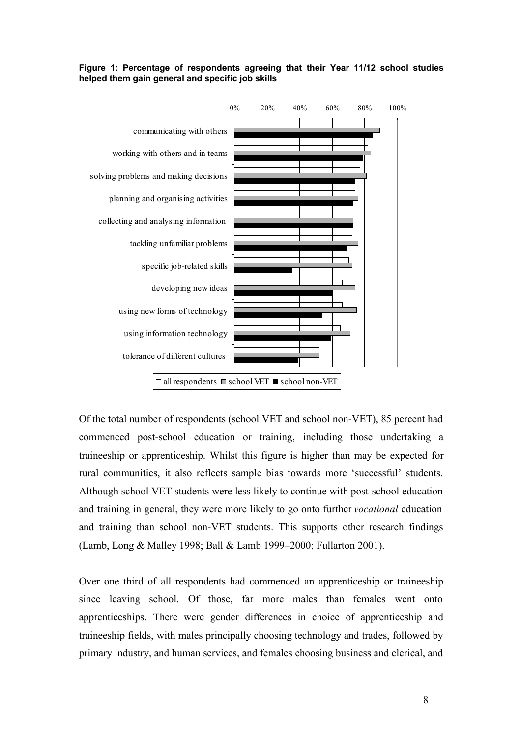### **Figure 1: Percentage of respondents agreeing that their Year 11/12 school studies helped them gain general and specific job skills**



Of the total number of respondents (school VET and school non-VET), 85 percent had commenced post-school education or training, including those undertaking a traineeship or apprenticeship. Whilst this figure is higher than may be expected for rural communities, it also reflects sample bias towards more 'successful' students. Although school VET students were less likely to continue with post-school education and training in general, they were more likely to go onto further *vocational* education and training than school non-VET students. This supports other research findings (Lamb, Long & Malley 1998; Ball & Lamb 1999–2000; Fullarton 2001).

Over one third of all respondents had commenced an apprenticeship or traineeship since leaving school. Of those, far more males than females went onto apprenticeships. There were gender differences in choice of apprenticeship and traineeship fields, with males principally choosing technology and trades, followed by primary industry, and human services, and females choosing business and clerical, and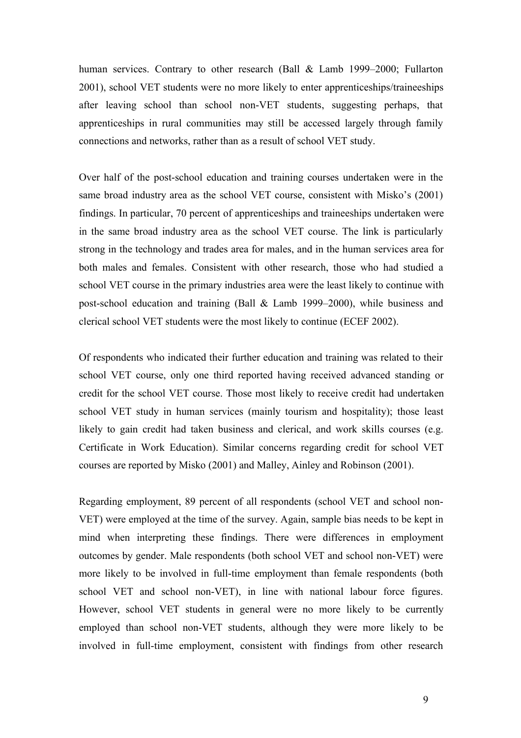human services. Contrary to other research (Ball & Lamb 1999–2000; Fullarton 2001), school VET students were no more likely to enter apprenticeships/traineeships after leaving school than school non-VET students, suggesting perhaps, that apprenticeships in rural communities may still be accessed largely through family connections and networks, rather than as a result of school VET study.

Over half of the post-school education and training courses undertaken were in the same broad industry area as the school VET course, consistent with Misko's (2001) findings. In particular, 70 percent of apprenticeships and traineeships undertaken were in the same broad industry area as the school VET course. The link is particularly strong in the technology and trades area for males, and in the human services area for both males and females. Consistent with other research, those who had studied a school VET course in the primary industries area were the least likely to continue with post-school education and training (Ball & Lamb 1999–2000), while business and clerical school VET students were the most likely to continue (ECEF 2002).

Of respondents who indicated their further education and training was related to their school VET course, only one third reported having received advanced standing or credit for the school VET course. Those most likely to receive credit had undertaken school VET study in human services (mainly tourism and hospitality); those least likely to gain credit had taken business and clerical, and work skills courses (e.g. Certificate in Work Education). Similar concerns regarding credit for school VET courses are reported by Misko (2001) and Malley, Ainley and Robinson (2001).

Regarding employment, 89 percent of all respondents (school VET and school non-VET) were employed at the time of the survey. Again, sample bias needs to be kept in mind when interpreting these findings. There were differences in employment outcomes by gender. Male respondents (both school VET and school non-VET) were more likely to be involved in full-time employment than female respondents (both school VET and school non-VET), in line with national labour force figures. However, school VET students in general were no more likely to be currently employed than school non-VET students, although they were more likely to be involved in full-time employment, consistent with findings from other research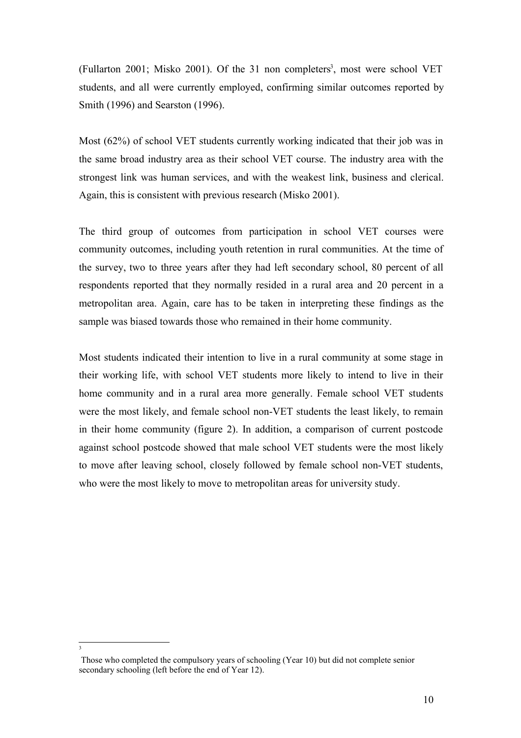(Fullarton 2001; Misko 2001). Of the 31 non completers 3 , most were school VET students, and all were currently employed, confirming similar outcomes reported by Smith (1996) and Searston (1996).

Most (62%) of school VET students currently working indicated that their job was in the same broad industry area as their school VET course. The industry area with the strongest link was human services, and with the weakest link, business and clerical. Again, this is consistent with previous research (Misko 2001).

The third group of outcomes from participation in school VET courses were community outcomes, including youth retention in rural communities. At the time of the survey, two to three years after they had left secondary school, 80 percent of all respondents reported that they normally resided in a rural area and 20 percent in a metropolitan area. Again, care has to be taken in interpreting these findings as the sample was biased towards those who remained in their home community.

Most students indicated their intention to live in a rural community at some stage in their working life, with school VET students more likely to intend to live in their home community and in a rural area more generally. Female school VET students were the most likely, and female school non-VET students the least likely, to remain in their home community (figure 2). In addition, a comparison of current postcode against school postcode showed that male school VET students were the most likely to move after leaving school, closely followed by female school non-VET students, who were the most likely to move to metropolitan areas for university study.

3

Those who completed the compulsory years of schooling (Year 10) but did not complete senior secondary schooling (left before the end of Year 12).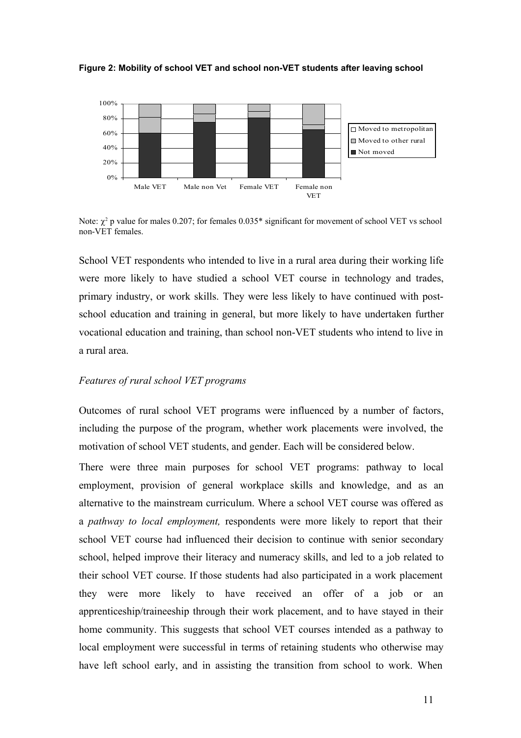



Note:  $\chi^2$  p value for males 0.207; for females 0.035\* significant for movement of school VET vs school non-VET females.

School VET respondents who intended to live in a rural area during their working life were more likely to have studied a school VET course in technology and trades, primary industry, or work skills. They were less likely to have continued with postschool education and training in general, but more likely to have undertaken further vocational education and training, than school non-VET students who intend to live in a rural area.

## *Features of rural school VET programs*

Outcomes of rural school VET programs were influenced by a number of factors, including the purpose of the program, whether work placements were involved, the motivation of school VET students, and gender. Each will be considered below.

There were three main purposes for school VET programs: pathway to local employment, provision of general workplace skills and knowledge, and as an alternative to the mainstream curriculum. Where a school VET course was offered as a *pathway to local employment,* respondents were more likely to report that their school VET course had influenced their decision to continue with senior secondary school, helped improve their literacy and numeracy skills, and led to a job related to their school VET course. If those students had also participated in a work placement they were more likely to have received an offer of a job or an apprenticeship/traineeship through their work placement, and to have stayed in their home community. This suggests that school VET courses intended as a pathway to local employment were successful in terms of retaining students who otherwise may have left school early, and in assisting the transition from school to work. When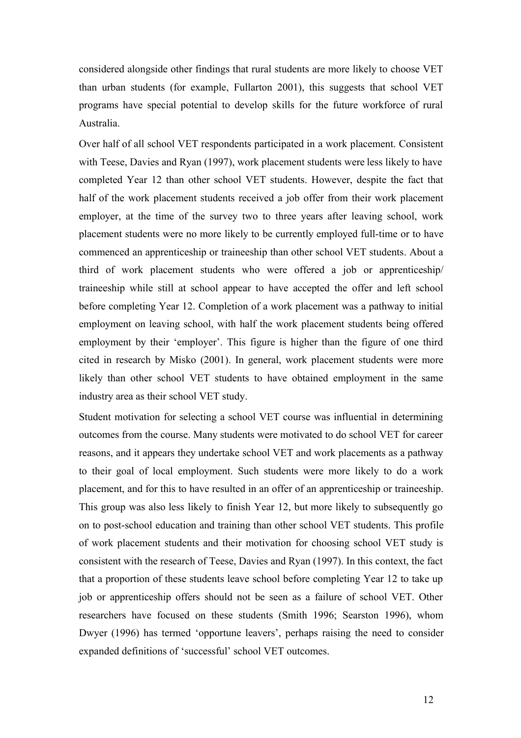considered alongside other findings that rural students are more likely to choose VET than urban students (for example, Fullarton 2001), this suggests that school VET programs have special potential to develop skills for the future workforce of rural Australia.

Over half of all school VET respondents participated in a work placement. Consistent with Teese, Davies and Ryan (1997), work placement students were less likely to have completed Year 12 than other school VET students. However, despite the fact that half of the work placement students received a job offer from their work placement employer, at the time of the survey two to three years after leaving school, work placement students were no more likely to be currently employed full-time or to have commenced an apprenticeship or traineeship than other school VET students. About a third of work placement students who were offered a job or apprenticeship/ traineeship while still at school appear to have accepted the offer and left school before completing Year 12. Completion of a work placement was a pathway to initial employment on leaving school, with half the work placement students being offered employment by their 'employer'. This figure is higher than the figure of one third cited in research by Misko (2001). In general, work placement students were more likely than other school VET students to have obtained employment in the same industry area as their school VET study.

Student motivation for selecting a school VET course was influential in determining outcomes from the course. Many students were motivated to do school VET for career reasons, and it appears they undertake school VET and work placements as a pathway to their goal of local employment. Such students were more likely to do a work placement, and for this to have resulted in an offer of an apprenticeship or traineeship. This group was also less likely to finish Year 12, but more likely to subsequently go on to post-school education and training than other school VET students. This profile of work placement students and their motivation for choosing school VET study is consistent with the research of Teese, Davies and Ryan (1997). In this context, the fact that a proportion of these students leave school before completing Year 12 to take up job or apprenticeship offers should not be seen as a failure of school VET. Other researchers have focused on these students (Smith 1996; Searston 1996), whom Dwyer (1996) has termed 'opportune leavers', perhaps raising the need to consider expanded definitions of 'successful' school VET outcomes.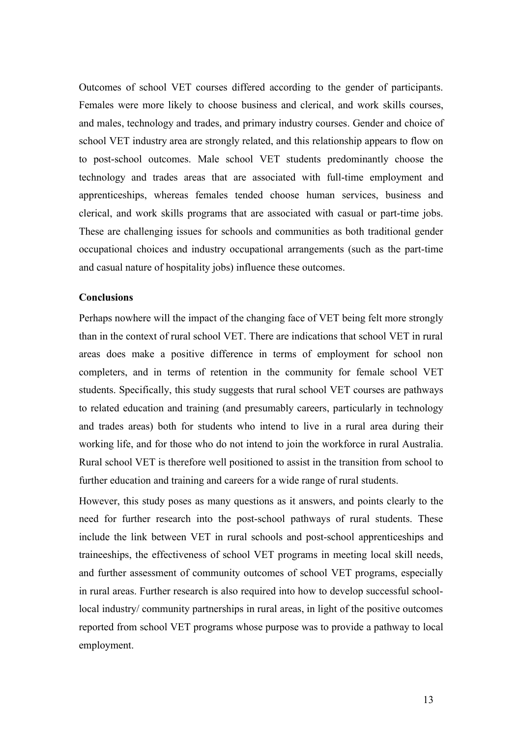Outcomes of school VET courses differed according to the gender of participants. Females were more likely to choose business and clerical, and work skills courses, and males, technology and trades, and primary industry courses. Gender and choice of school VET industry area are strongly related, and this relationship appears to flow on to post-school outcomes. Male school VET students predominantly choose the technology and trades areas that are associated with full-time employment and apprenticeships, whereas females tended choose human services, business and clerical, and work skills programs that are associated with casual or part-time jobs. These are challenging issues for schools and communities as both traditional gender occupational choices and industry occupational arrangements (such as the part-time and casual nature of hospitality jobs) influence these outcomes.

#### **Conclusions**

Perhaps nowhere will the impact of the changing face of VET being felt more strongly than in the context of rural school VET. There are indications that school VET in rural areas does make a positive difference in terms of employment for school non completers, and in terms of retention in the community for female school VET students. Specifically, this study suggests that rural school VET courses are pathways to related education and training (and presumably careers, particularly in technology and trades areas) both for students who intend to live in a rural area during their working life, and for those who do not intend to join the workforce in rural Australia. Rural school VET is therefore well positioned to assist in the transition from school to further education and training and careers for a wide range of rural students.

However, this study poses as many questions as it answers, and points clearly to the need for further research into the post-school pathways of rural students. These include the link between VET in rural schools and post-school apprenticeships and traineeships, the effectiveness of school VET programs in meeting local skill needs, and further assessment of community outcomes of school VET programs, especially in rural areas. Further research is also required into how to develop successful schoollocal industry/ community partnerships in rural areas, in light of the positive outcomes reported from school VET programs whose purpose was to provide a pathway to local employment.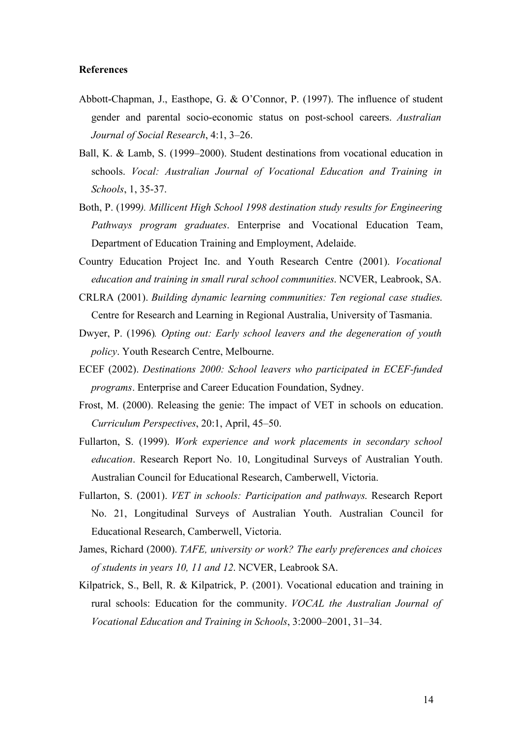# **References**

- Abbott-Chapman, J., Easthope, G. & O'Connor, P. (1997). The influence of student gender and parental socio-economic status on post-school careers. *Australian Journal of Social Research*, 4:1, 3–26.
- Ball, K. & Lamb, S. (1999–2000). Student destinations from vocational education in schools. *Vocal: Australian Journal of Vocational Education and Training in Schools*, 1, 35-37.
- Both, P. (1999*). Millicent High School 1998 destination study results for Engineering Pathways program graduates*. Enterprise and Vocational Education Team, Department of Education Training and Employment, Adelaide.
- Country Education Project Inc. and Youth Research Centre (2001). *Vocational education and training in small rural school communities*. NCVER, Leabrook, SA.
- CRLRA (2001). *Building dynamic learning communities: Ten regional case studies*. Centre for Research and Learning in Regional Australia, University of Tasmania.
- Dwyer, P. (1996)*. Opting out: Early school leavers and the degeneration of youth policy*. Youth Research Centre, Melbourne.
- ECEF (2002). *Destinations 2000: School leavers who participated in ECEF-funded programs*. Enterprise and Career Education Foundation, Sydney.
- Frost, M. (2000). Releasing the genie: The impact of VET in schools on education. *Curriculum Perspectives*, 20:1, April, 45–50.
- Fullarton, S. (1999). *Work experience and work placements in secondary school education*. Research Report No. 10, Longitudinal Surveys of Australian Youth. Australian Council for Educational Research, Camberwell, Victoria.
- Fullarton, S. (2001). *VET in schools: Participation and pathways*. Research Report No. 21, Longitudinal Surveys of Australian Youth. Australian Council for Educational Research, Camberwell, Victoria.
- James, Richard (2000). *TAFE, university or work? The early preferences and choices of students in years 10, 11 and 12*. NCVER, Leabrook SA.
- Kilpatrick, S., Bell, R. & Kilpatrick, P. (2001). Vocational education and training in rural schools: Education for the community. *VOCAL the Australian Journal of Vocational Education and Training in Schools*, 3:2000–2001, 31–34.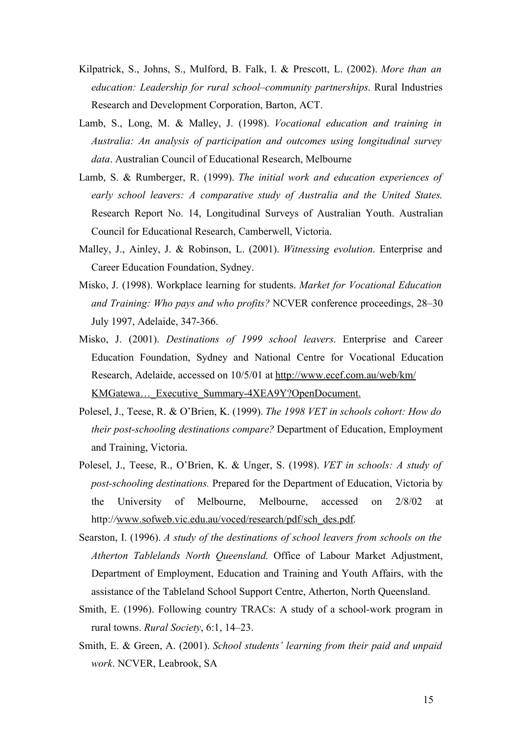- Kilpatrick, S., Johns, S., Mulford, B. Falk, I. & Prescott, L. (2002). *More than an education: Leadership for rural school–community partnerships*. Rural Industries Research and Development Corporation, Barton, ACT.
- Lamb, S., Long, M. & Malley, J. (1998). *Vocational education and training in Australia: An analysis of participation and outcomes using longitudinal survey data*. Australian Council of Educational Research, Melbourne
- Lamb, S. & Rumberger, R. (1999). *The initial work and education experiences of early school leavers: A comparative study of Australia and the United States*. Research Report No. 14, Longitudinal Surveys of Australian Youth. Australian Council for Educational Research, Camberwell, Victoria.
- Malley, J., Ainley, J. & Robinson, L. (2001). *Witnessing evolution*. Enterprise and Career Education Foundation, Sydney.
- Misko, J. (1998). Workplace learning for students. *Market for Vocational Education and Training: Who pays and who profits?* NCVER conference proceedings, 28–30 July 1997, Adelaide, 347-366.
- Misko, J. (2001). *Destinations of 1999 school leavers*. Enterprise and Career Education Foundation, Sydney and National Centre for Vocational Education Research, Adelaide, accessed on 10/5/01 at http://www.ecef.com.au/web/km/ KMGatewa... Executive Summary-4XEA9Y?OpenDocument.
- Polesel, J., Teese, R. & O'Brien, K. (1999). *The 1998 VET in schools cohort: How do their post-schooling destinations compare?* Department of Education, Employment and Training, Victoria.
- Polesel, J., Teese, R., O'Brien, K. & Unger, S. (1998). *VET in schools: A study of post-schooling destinations.* Prepared for the Department of Education, Victoria by the University of Melbourne, Melbourne, accessed on 2/8/02 at http://www.sofweb.vic.edu.au/voced/research/pdf/sch\_des.pdf.
- Searston, I. (1996). *A study of the destinations of school leavers from schools on the Atherton Tablelands North Queensland*. Office of Labour Market Adjustment, Department of Employment, Education and Training and Youth Affairs, with the assistance of the Tableland School Support Centre, Atherton, North Queensland.
- Smith, E. (1996). Following country TRACs: A study of a school-work program in rural towns. *Rural Society*, 6:1, 14–23.
- Smith, E. & Green, A. (2001). *School students' learning from their paid and unpaid work*. NCVER, Leabrook, SA